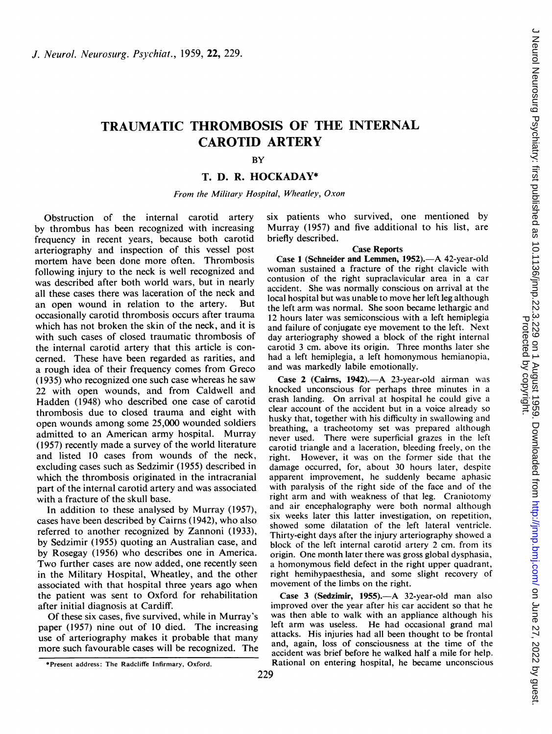# TRAUMATIC THROMBOSIS OF THE INTERNAL CAROTID ARTERY

# BY

## T. D. R. HOCKADAY\*

From the Military Hospital, Wheatley, Oxon

Obstruction of the internal carotid artery by thrombus has been recognized with increasing frequency in recent years, because both carotid arteriography and inspection of this vessel post mortem have been done more often. Thrombosis following injury to the neck is well recognized and was described after both world wars, but in nearly all these cases there was laceration of the neck and an open wound in relation to the artery. But occasionally carotid thrombosis occurs after trauma which has not broken the skin of the neck, and it is with such cases of closed traumatic thrombosis of the internal carotid artery that this article is concerned. These have been regarded as rarities, and a rough idea of their frequency comes from Greco (1935) who recognized one such case whereas he saw 22 with open wounds, and from Caldwell and Hadden (1948) who described one case of carotid thrombosis due to closed trauma and eight with open wounds among some 25,000 wounded soldiers admitted to an American army hospital. Murray (1957) recently made a survey of the world literature and listed 10 cases from wounds of the neck, excluding cases such as Sedzimir (1955) described in which the thrombosis originated in the intracranial part of the internal carotid artery and was associated with a fracture of the skull base.

In addition to these analysed by Murray (1957), cases have been described by Cairns (1942), who also referred to another recognized by Zannoni (1933), by Sedzimir (1955) quoting an Australian case, and by Rosegay (1956) who describes one in America. Two further cases are now added, one recently seen in the Military Hospital, Wheatley, and the other associated with that hospital three years ago when the patient was sent to Oxford for rehabilitation after initial diagnosis at Cardiff.

Of these six cases, five survived, while in Murray's paper (1957) nine out of 10 died. The increasing use of arteriography makes it probable that many more such favourable cases will be recognized. The

six patients who survived, one mentioned by Murray (1957) and five additional to his list, are briefly described.

#### Case Reports

Case 1 (Schneider and Lemmen, 1952).- A 42-year-old woman sustained a fracture of the right clavicle with contusion of the right supraclavicular area in a car accident. She was normally conscious on arrival at the local hospital but was unable to move her left leg although the left arm was normal. She soon became lethargic and 12 hours later was semiconscious with a left hemiplegia and failure of conjugate eye movement to the left. Next day arteriography showed a block of the right internal carotid 3 cm. above its origin. Three months later she had a left hemiplegia, a left homonymous hemianopia, and was markedly labile emotionally.

Case 2 (Cairns, 1942). $-A$  23-year-old airman was knocked unconscious for perhaps three minutes in a crash landing. On arrival at hospital he could give <sup>a</sup> clear account of the accident but in a voice already so husky that, together with his difficulty in swallowing and breathing, a tracheotomy set was prepared although never used. There were superficial grazes in the left carotid triangle and a laceration, bleeding freely, on the right. However, it was on the former side that the damage occurred, for, about 30 hours later, despite apparent improvement, he suddenly became aphasic with paralysis of the right side of the face and of the right arm and with weakness of that leg. Craniotomy and air encephalography were both normal although six weeks later this latter investigation, on repetition, showed some dilatation of the left lateral ventricle. Thirty-eight days after the injury arteriography showed a block of the left internal carotid artery 2 cm. from its origin. One month later there was gross global dysphasia, a homonymous field defect in the right upper quadrant, right hemihypaesthesia, and some slight recovery of movement of the limbs on the right.

Case 3 (Sedzimir, 1955).--- A 32-year-old man also improved over the year after his car accident so that he was then able to walk with an appliance although his left arm was useless. He had occasional grand mal attacks. His injuries had all been thought to be frontal and, again, loss of consciousness at the time of the accident was brief before he walked half a mile for help. Rational on entering hospital, he became unconscious

<sup>\*</sup>Present address: The Radcliffe Infirmary, Oxford.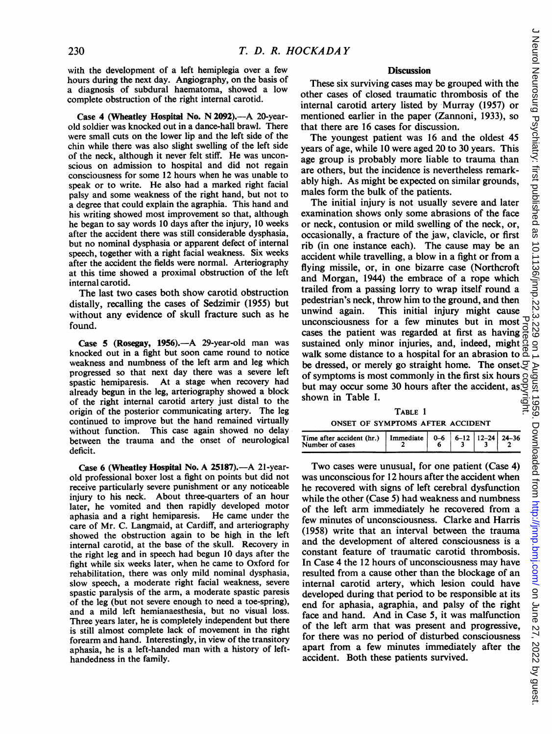with the development of a left hemiplegia over a few hours during the next day. Angiography, on the basis of a diagnosis of subdural haematoma, showed a low complete obstruction of the right internal carotid.

Case 4 (Wheatley Hospital No. N 2092).—A 20-yearold soldier was knocked out in a dance-hall brawl. There were small cuts on the lower lip and the left side of the chin while there was also slight swelling of the left side of the neck, although it never felt stiff. He was unconscious on admission to hospital and did not regain consciousness for some 12 hours when he was unable to speak or to write. He also had a marked right facial palsy and some weakness of the right hand, but not to a degree that could explain the agraphia. This hand and his writing showed most improvement so that, although he began to say words 10 days after the injury, 10 weeks after the accident there was still considerable dysphasia, but no nominal dysphasia or apparent defect of internal speech, together with a right facial weakness. Six weeks after the accident the fields were normal. Arteriography at this time showed a proximal obstruction of the left internal carotid.

The last two cases both show carotid obstruction distally, recalling the cases of Sedzimir (1955) but without any evidence of skull fracture such as he found.

Case 5 (Rosegay, 1956).—A 29-year-old man was knocked out in a fight but soon came round to notice weakness and numbness of the left arm and leg which progressed so that next day there was a severe left spastic hemiparesis. At a stage when recovery had At a stage when recovery had already begun in the leg, arteriography showed a block of the right internal carotid artery just distal to the origin of the posterior communicating artery. The leg continued to improve but the hand remained virtually without function. This case again showed no delay between the trauma and the onset of neurological deficit.

Case 6 (Wheatley Hospital No. A 25187).—A 21-yearold professional boxer lost a fight on points but did not receive particularly severe punishment or any noticeable injury to his neck. About three-quarters of an hour later, he vomited and then rapidly developed motor aphasia and a right hemiparesis. He came under the care of Mr. C. Langmaid, at Cardiff, and arteriography showed the obstruction again to be high in the left internal carotid, at the base of the skull. Recovery in the right leg and in speech had begun 10 days after the fight while six weeks later, when he came to Oxford for rehabilitation, there was only mild nominal dysphasia, slow speech, a moderate right facial weakness, severe spastic paralysis of the arm, a moderate spastic paresis of the leg (but not severe enough to need a toe-spring), and a mild left hemianaesthesia, but no visual loss. Three years later, he is completely independent but there is still almost complete lack of movement in the right forearm and hand. Interestingly, in view of the transitory aphasia, he is a left-handed man with a history of lefthandedness in the family.

#### **Discussion**

These six surviving cases may be grouped with the other cases of closed traumatic thrombosis of the internal carotid artery listed by Murray (1957) or mentioned earlier in the paper (Zannoni, 1933), so that there are 16 cases for discussion.

The youngest patient was 16 and the oldest 45 years of age, while 10 were aged 20 to 30 years. This age group is probably more liable to trauma than are others, but the incidence is nevertheless remarkably high. As might be expected on similar grounds, males form the bulk of the patients.

The initial injury is not usually severe and later examination shows only some abrasions of the face or neck, contusion or mild swelling of the neck, or, occasionally, a fracture of the jaw, clavicle, or first rib (in one instance each). The cause may be an accident while travelling, a blow in a fight or from a flying missile, or, in one bizarre case (Northcroft and Morgan, 1944) the embrace of a rope which trailed from a passing lorry to wrap itself round a pedestrian's neck, throw him to the ground, and then unwind again. This initial injury might cause unconsciousness for a few minutes but in most cases the patient was regarded at first as having sustained only minor injuries, and, indeed, might walk some distance to a hospital for an abrasion to  $\frac{0}{0}$ be dressed, or merely go straight home. The onset  $\mathfrak S$ of symptoms is most commonly in the first six hours but may occur some 30 hours after the accident, as shown in Table I. Protected by copyright.

## TABLE <sup>1</sup> ONSET OF SYMPTOMS AFTER ACCIDENT

| Time after accident (hr.)   Immediate $\begin{vmatrix} 0 & -6 \\ 6 & -12 \end{vmatrix}$ 12-24   24-36<br>Number of cases |  |  |  |
|--------------------------------------------------------------------------------------------------------------------------|--|--|--|

Two cases were unusual, for one patient (Case 4) was unconscious for 12 hours after the accident when he recovered with signs of left cerebral dysfunction while the other (Case 5) had weakness and numbness of the left arm immediately he recovered from a few minutes of unconsciousness. Clarke and Harris (1958) write that an interval between the trauma and the development of altered consciousness is a constant feature of traumatic carotid thrombosis. In Case 4 the 12 hours of unconsciousness may have resulted from a cause other than the blockage of an internal carotid artery, which lesion could have developed during that period to be responsible at its end for aphasia, agraphia, and palsy of the right face and hand. And in Case 5, it was malfunction of the left arm that was present and progressive, for there was no period of disturbed consciousness apart from a few minutes immediately after the accident. Both these patients survived.